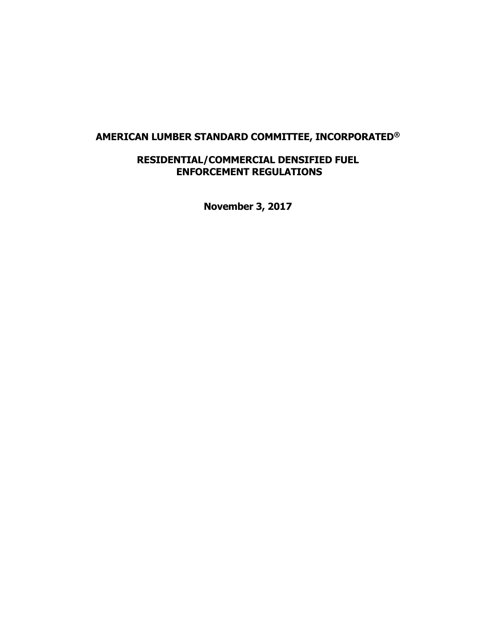# **AMERICAN LUMBER STANDARD COMMITTEE, INCORPORATED®**

# **RESIDENTIAL/COMMERCIAL DENSIFIED FUEL ENFORCEMENT REGULATIONS**

**November 3, 2017**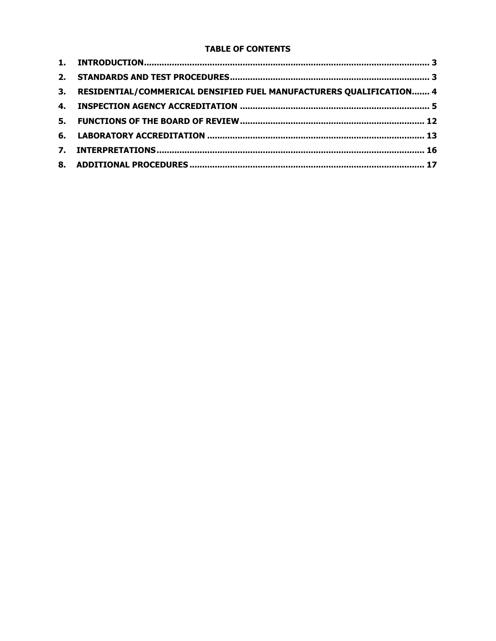## **TABLE OF CONTENTS**

| 3. RESIDENTIAL/COMMERICAL DENSIFIED FUEL MANUFACTURERS QUALIFICATION 4 |  |
|------------------------------------------------------------------------|--|
|                                                                        |  |
|                                                                        |  |
|                                                                        |  |
|                                                                        |  |
|                                                                        |  |
|                                                                        |  |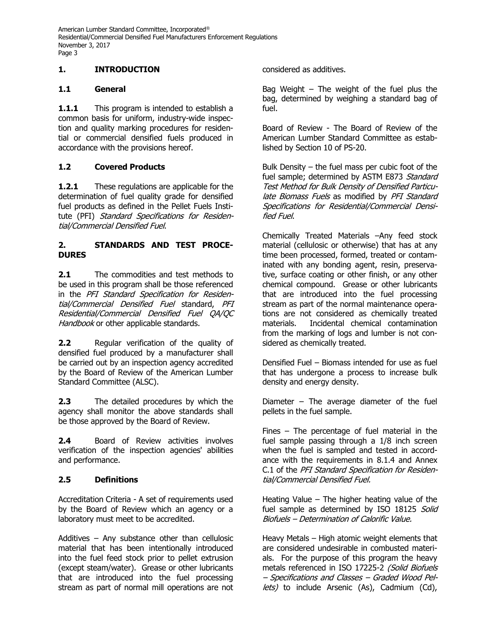## **1. INTRODUCTION**

## **1.1 General**

1.1.1 This program is intended to establish a common basis for uniform, industry-wide inspection and quality marking procedures for residential or commercial densified fuels produced in accordance with the provisions hereof.

# **1.2 Covered Products**

**1.2.1** These regulations are applicable for the determination of fuel quality grade for densified fuel products as defined in the Pellet Fuels Institute (PFI) Standard Specifications for Residential/Commercial Densified Fuel.

#### **2. STANDARDS AND TEST PROCE-DURES**

**2.1** The commodities and test methods to be used in this program shall be those referenced in the PFI Standard Specification for Residential/Commercial Densified Fuel standard, PFI Residential/Commercial Densified Fuel QA/QC Handbook or other applicable standards.

**2.2** Regular verification of the quality of densified fuel produced by a manufacturer shall be carried out by an inspection agency accredited by the Board of Review of the American Lumber Standard Committee (ALSC).

**2.3** The detailed procedures by which the agency shall monitor the above standards shall be those approved by the Board of Review.

**2.4** Board of Review activities involves verification of the inspection agencies' abilities and performance.

## **2.5 Definitions**

Accreditation Criteria - A set of requirements used by the Board of Review which an agency or a laboratory must meet to be accredited.

Additives – Any substance other than cellulosic material that has been intentionally introduced into the fuel feed stock prior to pellet extrusion (except steam/water). Grease or other lubricants that are introduced into the fuel processing stream as part of normal mill operations are not

considered as additives.

Bag Weight  $-$  The weight of the fuel plus the bag, determined by weighing a standard bag of fuel.

Board of Review - The Board of Review of the American Lumber Standard Committee as established by Section 10 of PS-20.

Bulk Density – the fuel mass per cubic foot of the fuel sample; determined by ASTM E873 Standard Test Method for Bulk Density of Densified Particulate Biomass Fuels as modified by PFI Standard Specifications for Residential/Commercial Densified Fuel.

Chemically Treated Materials –Any feed stock material (cellulosic or otherwise) that has at any time been processed, formed, treated or contaminated with any bonding agent, resin, preservative, surface coating or other finish, or any other chemical compound. Grease or other lubricants that are introduced into the fuel processing stream as part of the normal maintenance operations are not considered as chemically treated materials. Incidental chemical contamination from the marking of logs and lumber is not considered as chemically treated.

Densified Fuel – Biomass intended for use as fuel that has undergone a process to increase bulk density and energy density.

Diameter  $-$  The average diameter of the fuel pellets in the fuel sample.

Fines  $-$  The percentage of fuel material in the fuel sample passing through a 1/8 inch screen when the fuel is sampled and tested in accordance with the requirements in 8.1.4 and Annex C.1 of the PFI Standard Specification for Residential/Commercial Densified Fuel.

Heating Value – The higher heating value of the fuel sample as determined by ISO 18125 Solid Biofuels – Determination of Calorific Value.

Heavy Metals – High atomic weight elements that are considered undesirable in combusted materials. For the purpose of this program the heavy metals referenced in ISO 17225-2 (Solid Biofuels – Specifications and Classes – Graded Wood Pellets) to include Arsenic (As), Cadmium (Cd),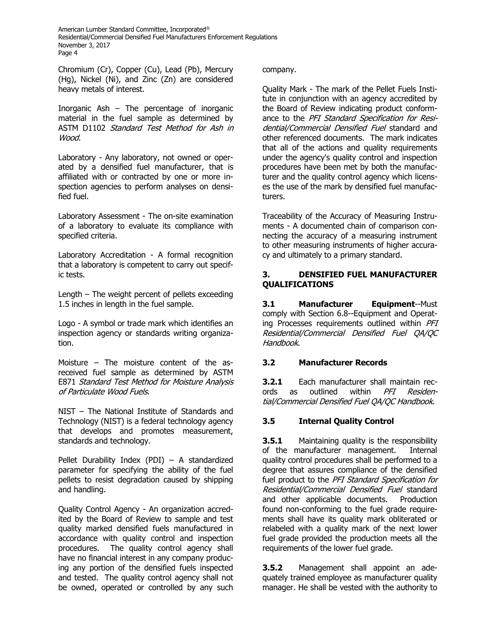Chromium (Cr), Copper (Cu), Lead (Pb), Mercury (Hg), Nickel (Ni), and Zinc (Zn) are considered heavy metals of interest.

Inorganic Ash – The percentage of inorganic material in the fuel sample as determined by ASTM D1102 Standard Test Method for Ash in Wood.

Laboratory - Any laboratory, not owned or operated by a densified fuel manufacturer, that is affiliated with or contracted by one or more inspection agencies to perform analyses on densified fuel.

Laboratory Assessment - The on-site examination of a laboratory to evaluate its compliance with specified criteria.

Laboratory Accreditation - A formal recognition that a laboratory is competent to carry out specific tests.

Length – The weight percent of pellets exceeding 1.5 inches in length in the fuel sample.

Logo - A symbol or trade mark which identifies an inspection agency or standards writing organization.

Moisture – The moisture content of the asreceived fuel sample as determined by ASTM E871 Standard Test Method for Moisture Analysis of Particulate Wood Fuels.

NIST – The National Institute of Standards and Technology (NIST) is a federal technology agency that develops and promotes measurement, standards and technology.

Pellet Durability Index (PDI) – A standardized parameter for specifying the ability of the fuel pellets to resist degradation caused by shipping and handling.

Quality Control Agency - An organization accredited by the Board of Review to sample and test quality marked densified fuels manufactured in accordance with quality control and inspection procedures. The quality control agency shall have no financial interest in any company producing any portion of the densified fuels inspected and tested. The quality control agency shall not be owned, operated or controlled by any such

company.

Quality Mark - The mark of the Pellet Fuels Institute in conjunction with an agency accredited by the Board of Review indicating product conformance to the PFI Standard Specification for Residential/Commercial Densified Fuel standard and other referenced documents. The mark indicates that all of the actions and quality requirements under the agency's quality control and inspection procedures have been met by both the manufacturer and the quality control agency which licenses the use of the mark by densified fuel manufacturers.

Traceability of the Accuracy of Measuring Instruments - A documented chain of comparison connecting the accuracy of a measuring instrument to other measuring instruments of higher accuracy and ultimately to a primary standard.

## **3. DENSIFIED FUEL MANUFACTURER QUALIFICATIONS**

**3.1 Manufacturer Equipment**--Must comply with Section 6.8--Equipment and Operating Processes requirements outlined within PFI Residential/Commercial Densified Fuel QA/QC Handbook.

## **3.2 Manufacturer Records**

**3.2.1** Each manufacturer shall maintain records as outlined within PFI Residential/Commercial Densified Fuel QA/QC Handbook.

## **3.5 Internal Quality Control**

**3.5.1** Maintaining quality is the responsibility of the manufacturer management. Internal quality control procedures shall be performed to a degree that assures compliance of the densified fuel product to the PFI Standard Specification for Residential/Commercial Densified Fuel standard and other applicable documents. Production found non-conforming to the fuel grade requirements shall have its quality mark obliterated or relabeled with a quality mark of the next lower fuel grade provided the production meets all the requirements of the lower fuel grade.

**3.5.2** Management shall appoint an adequately trained employee as manufacturer quality manager. He shall be vested with the authority to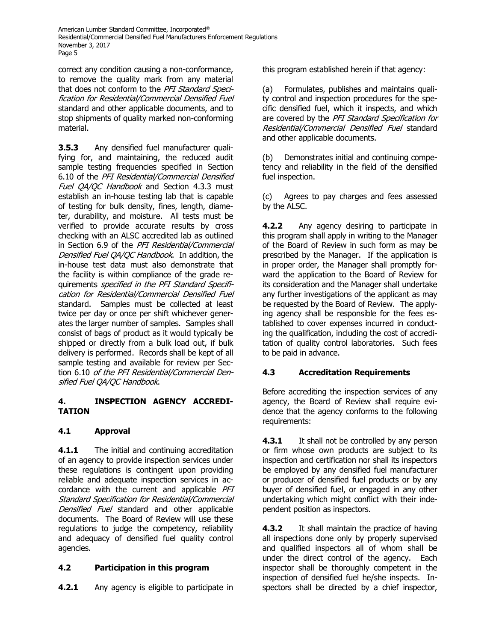correct any condition causing a non-conformance, to remove the quality mark from any material that does not conform to the PFI Standard Specification for Residential/Commercial Densified Fuel standard and other applicable documents, and to stop shipments of quality marked non-conforming material.

**3.5.3** Any densified fuel manufacturer qualifying for, and maintaining, the reduced audit sample testing frequencies specified in Section 6.10 of the PFI Residential/Commercial Densified Fuel QA/QC Handbook and Section 4.3.3 must establish an in-house testing lab that is capable of testing for bulk density, fines, length, diameter, durability, and moisture. All tests must be verified to provide accurate results by cross checking with an ALSC accredited lab as outlined in Section 6.9 of the PFI Residential/Commercial Densified Fuel QA/QC Handbook. In addition, the in-house test data must also demonstrate that the facility is within compliance of the grade requirements *specified in the PFI Standard Specifi*cation for Residential/Commercial Densified Fuel standard. Samples must be collected at least twice per day or once per shift whichever generates the larger number of samples. Samples shall consist of bags of product as it would typically be shipped or directly from a bulk load out, if bulk delivery is performed. Records shall be kept of all sample testing and available for review per Section 6.10 of the PFI Residential/Commercial Densified Fuel QA/QC Handbook.

## **4. INSPECTION AGENCY ACCREDI-TATION**

# **4.1 Approval**

**4.1.1** The initial and continuing accreditation of an agency to provide inspection services under these regulations is contingent upon providing reliable and adequate inspection services in accordance with the current and applicable PFI Standard Specification for Residential/Commercial Densified Fuel standard and other applicable documents. The Board of Review will use these regulations to judge the competency, reliability and adequacy of densified fuel quality control agencies.

# **4.2 Participation in this program**

**4.2.1** Any agency is eligible to participate in

this program established herein if that agency:

(a) Formulates, publishes and maintains quality control and inspection procedures for the specific densified fuel, which it inspects, and which are covered by the PFI Standard Specification for Residential/Commercial Densified Fuel standard and other applicable documents.

(b) Demonstrates initial and continuing competency and reliability in the field of the densified fuel inspection.

(c) Agrees to pay charges and fees assessed by the ALSC.

**4.2.2** Any agency desiring to participate in this program shall apply in writing to the Manager of the Board of Review in such form as may be prescribed by the Manager. If the application is in proper order, the Manager shall promptly forward the application to the Board of Review for its consideration and the Manager shall undertake any further investigations of the applicant as may be requested by the Board of Review. The applying agency shall be responsible for the fees established to cover expenses incurred in conducting the qualification, including the cost of accreditation of quality control laboratories. Such fees to be paid in advance.

# **4.3 Accreditation Requirements**

Before accrediting the inspection services of any agency, the Board of Review shall require evidence that the agency conforms to the following requirements:

**4.3.1** It shall not be controlled by any person or firm whose own products are subject to its inspection and certification nor shall its inspectors be employed by any densified fuel manufacturer or producer of densified fuel products or by any buyer of densified fuel, or engaged in any other undertaking which might conflict with their independent position as inspectors.

**4.3.2** It shall maintain the practice of having all inspections done only by properly supervised and qualified inspectors all of whom shall be under the direct control of the agency. Each inspector shall be thoroughly competent in the inspection of densified fuel he/she inspects. Inspectors shall be directed by a chief inspector,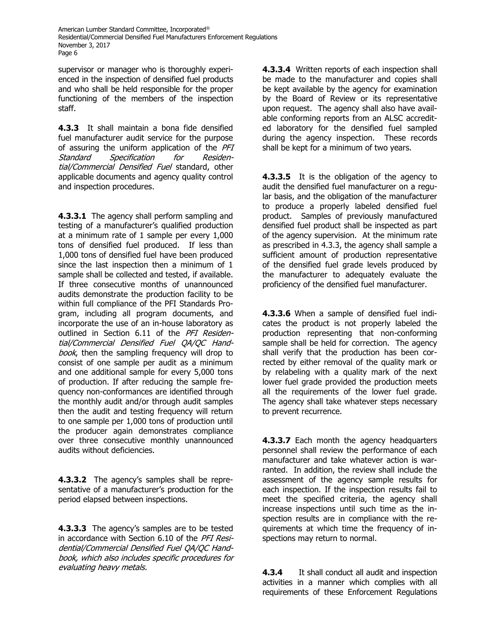supervisor or manager who is thoroughly experienced in the inspection of densified fuel products and who shall be held responsible for the proper functioning of the members of the inspection staff.

**4.3.3** It shall maintain a bona fide densified fuel manufacturer audit service for the purpose of assuring the uniform application of the PFI Standard Specification for Residential/Commercial Densified Fuel standard, other applicable documents and agency quality control and inspection procedures.

**4.3.3.1** The agency shall perform sampling and testing of a manufacturer's qualified production at a minimum rate of 1 sample per every 1,000 tons of densified fuel produced. If less than 1,000 tons of densified fuel have been produced since the last inspection then a minimum of 1 sample shall be collected and tested, if available. If three consecutive months of unannounced audits demonstrate the production facility to be within full compliance of the PFI Standards Program, including all program documents, and incorporate the use of an in-house laboratory as outlined in Section 6.11 of the PFI Residential/Commercial Densified Fuel QA/QC Handbook, then the sampling frequency will drop to consist of one sample per audit as a minimum and one additional sample for every 5,000 tons of production. If after reducing the sample frequency non-conformances are identified through the monthly audit and/or through audit samples then the audit and testing frequency will return to one sample per 1,000 tons of production until the producer again demonstrates compliance over three consecutive monthly unannounced audits without deficiencies.

**4.3.3.2** The agency's samples shall be representative of a manufacturer's production for the period elapsed between inspections.

**4.3.3.3** The agency's samples are to be tested in accordance with Section 6.10 of the PFI Residential/Commercial Densified Fuel QA/QC Handbook, which also includes specific procedures for evaluating heavy metals.

**4.3.3.4** Written reports of each inspection shall be made to the manufacturer and copies shall be kept available by the agency for examination by the Board of Review or its representative upon request. The agency shall also have available conforming reports from an ALSC accredited laboratory for the densified fuel sampled during the agency inspection. These records shall be kept for a minimum of two years.

**4.3.3.5** It is the obligation of the agency to audit the densified fuel manufacturer on a regular basis, and the obligation of the manufacturer to produce a properly labeled densified fuel product. Samples of previously manufactured densified fuel product shall be inspected as part of the agency supervision. At the minimum rate as prescribed in 4.3.3, the agency shall sample a sufficient amount of production representative of the densified fuel grade levels produced by the manufacturer to adequately evaluate the proficiency of the densified fuel manufacturer.

**4.3.3.6** When a sample of densified fuel indicates the product is not properly labeled the production representing that non-conforming sample shall be held for correction. The agency shall verify that the production has been corrected by either removal of the quality mark or by relabeling with a quality mark of the next lower fuel grade provided the production meets all the requirements of the lower fuel grade. The agency shall take whatever steps necessary to prevent recurrence.

**4.3.3.7** Each month the agency headquarters personnel shall review the performance of each manufacturer and take whatever action is warranted. In addition, the review shall include the assessment of the agency sample results for each inspection. If the inspection results fail to meet the specified criteria, the agency shall increase inspections until such time as the inspection results are in compliance with the requirements at which time the frequency of inspections may return to normal.

**4.3.4** It shall conduct all audit and inspection activities in a manner which complies with all requirements of these Enforcement Regulations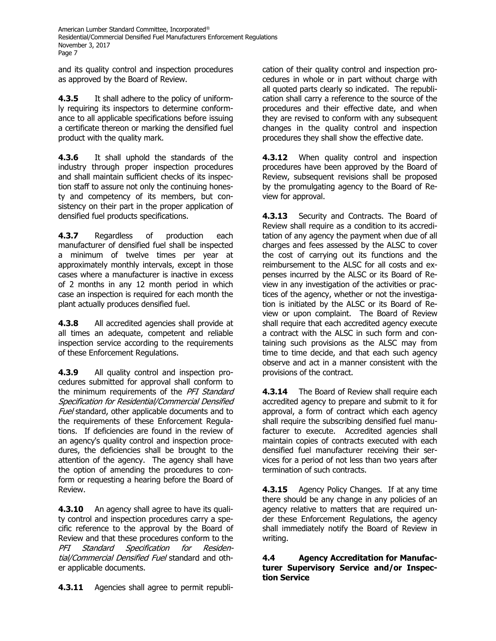and its quality control and inspection procedures as approved by the Board of Review.

**4.3.5** It shall adhere to the policy of uniformly requiring its inspectors to determine conformance to all applicable specifications before issuing a certificate thereon or marking the densified fuel product with the quality mark.

**4.3.6** It shall uphold the standards of the industry through proper inspection procedures and shall maintain sufficient checks of its inspection staff to assure not only the continuing honesty and competency of its members, but consistency on their part in the proper application of densified fuel products specifications.

**4.3.7** Regardless of production each manufacturer of densified fuel shall be inspected a minimum of twelve times per year at approximately monthly intervals, except in those cases where a manufacturer is inactive in excess of 2 months in any 12 month period in which case an inspection is required for each month the plant actually produces densified fuel.

**4.3.8** All accredited agencies shall provide at all times an adequate, competent and reliable inspection service according to the requirements of these Enforcement Regulations.

**4.3.9** All quality control and inspection procedures submitted for approval shall conform to the minimum requirements of the PFI Standard Specification for Residential/Commercial Densified Fuel standard, other applicable documents and to the requirements of these Enforcement Regulations. If deficiencies are found in the review of an agency's quality control and inspection procedures, the deficiencies shall be brought to the attention of the agency. The agency shall have the option of amending the procedures to conform or requesting a hearing before the Board of Review.

**4.3.10** An agency shall agree to have its quality control and inspection procedures carry a specific reference to the approval by the Board of Review and that these procedures conform to the PFI Standard Specification for Residential/Commercial Densified Fuel standard and other applicable documents.

**4.3.11** Agencies shall agree to permit republi-

cation of their quality control and inspection procedures in whole or in part without charge with all quoted parts clearly so indicated. The republication shall carry a reference to the source of the procedures and their effective date, and when they are revised to conform with any subsequent changes in the quality control and inspection procedures they shall show the effective date.

**4.3.12** When quality control and inspection procedures have been approved by the Board of Review, subsequent revisions shall be proposed by the promulgating agency to the Board of Review for approval.

**4.3.13** Security and Contracts. The Board of Review shall require as a condition to its accreditation of any agency the payment when due of all charges and fees assessed by the ALSC to cover the cost of carrying out its functions and the reimbursement to the ALSC for all costs and expenses incurred by the ALSC or its Board of Review in any investigation of the activities or practices of the agency, whether or not the investigation is initiated by the ALSC or its Board of Review or upon complaint. The Board of Review shall require that each accredited agency execute a contract with the ALSC in such form and containing such provisions as the ALSC may from time to time decide, and that each such agency observe and act in a manner consistent with the provisions of the contract.

**4.3.14** The Board of Review shall require each accredited agency to prepare and submit to it for approval, a form of contract which each agency shall require the subscribing densified fuel manufacturer to execute. Accredited agencies shall maintain copies of contracts executed with each densified fuel manufacturer receiving their services for a period of not less than two years after termination of such contracts.

**4.3.15** Agency Policy Changes. If at any time there should be any change in any policies of an agency relative to matters that are required under these Enforcement Regulations, the agency shall immediately notify the Board of Review in writing.

**4.4 Agency Accreditation for Manufacturer Supervisory Service and/or Inspection Service**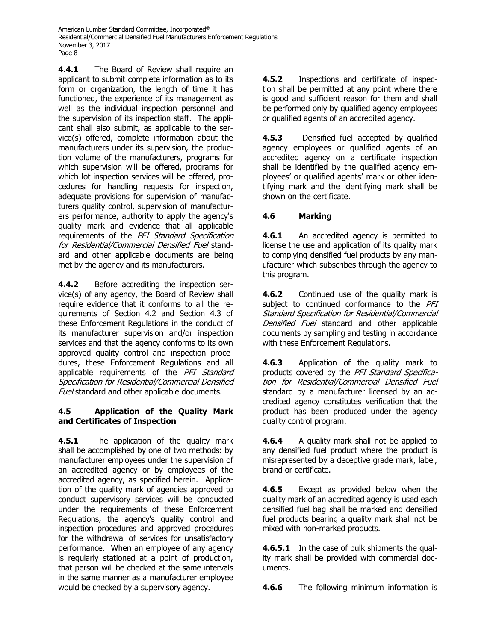**4.4.1** The Board of Review shall require an applicant to submit complete information as to its form or organization, the length of time it has functioned, the experience of its management as well as the individual inspection personnel and the supervision of its inspection staff. The applicant shall also submit, as applicable to the service(s) offered, complete information about the manufacturers under its supervision, the production volume of the manufacturers, programs for which supervision will be offered, programs for which lot inspection services will be offered, procedures for handling requests for inspection, adequate provisions for supervision of manufacturers quality control, supervision of manufacturers performance, authority to apply the agency's quality mark and evidence that all applicable requirements of the PFI Standard Specification for Residential/Commercial Densified Fuel standard and other applicable documents are being met by the agency and its manufacturers.

**4.4.2** Before accrediting the inspection service(s) of any agency, the Board of Review shall require evidence that it conforms to all the requirements of Section 4.2 and Section 4.3 of these Enforcement Regulations in the conduct of its manufacturer supervision and/or inspection services and that the agency conforms to its own approved quality control and inspection procedures, these Enforcement Regulations and all applicable requirements of the PFI Standard Specification for Residential/Commercial Densified Fuel standard and other applicable documents.

## **4.5 Application of the Quality Mark and Certificates of Inspection**

**4.5.1** The application of the quality mark shall be accomplished by one of two methods: by manufacturer employees under the supervision of an accredited agency or by employees of the accredited agency, as specified herein. Application of the quality mark of agencies approved to conduct supervisory services will be conducted under the requirements of these Enforcement Regulations, the agency's quality control and inspection procedures and approved procedures for the withdrawal of services for unsatisfactory performance. When an employee of any agency is regularly stationed at a point of production, that person will be checked at the same intervals in the same manner as a manufacturer employee would be checked by a supervisory agency.

**4.5.2** Inspections and certificate of inspection shall be permitted at any point where there is good and sufficient reason for them and shall be performed only by qualified agency employees or qualified agents of an accredited agency.

**4.5.3** Densified fuel accepted by qualified agency employees or qualified agents of an accredited agency on a certificate inspection shall be identified by the qualified agency employees' or qualified agents' mark or other identifying mark and the identifying mark shall be shown on the certificate.

# **4.6 Marking**

4.6.1 An accredited agency is permitted to license the use and application of its quality mark to complying densified fuel products by any manufacturer which subscribes through the agency to this program.

**4.6.2** Continued use of the quality mark is subject to continued conformance to the PFI Standard Specification for Residential/Commercial Densified Fuel standard and other applicable documents by sampling and testing in accordance with these Enforcement Regulations.

**4.6.3** Application of the quality mark to products covered by the PFI Standard Specification for Residential/Commercial Densified Fuel standard by a manufacturer licensed by an accredited agency constitutes verification that the product has been produced under the agency quality control program.

**4.6.4** A quality mark shall not be applied to any densified fuel product where the product is misrepresented by a deceptive grade mark, label, brand or certificate.

**4.6.5** Except as provided below when the quality mark of an accredited agency is used each densified fuel bag shall be marked and densified fuel products bearing a quality mark shall not be mixed with non-marked products.

**4.6.5.1** In the case of bulk shipments the quality mark shall be provided with commercial documents.

**4.6.6** The following minimum information is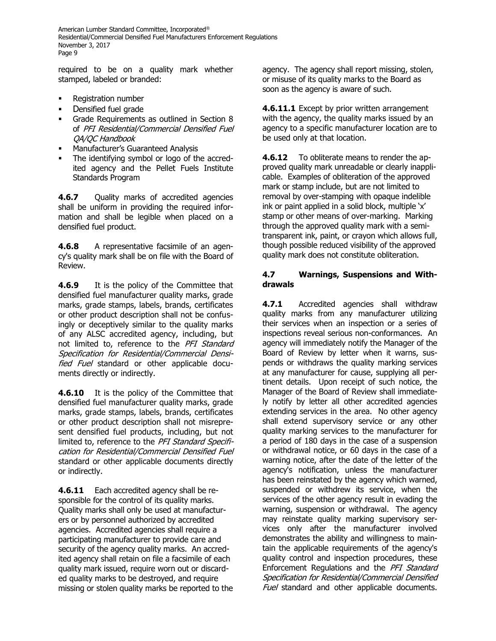required to be on a quality mark whether stamped, labeled or branded:

- **Registration number**
- Densified fuel grade
- Grade Requirements as outlined in Section 8 of PFI Residential/Commercial Densified Fuel QA/QC Handbook
- Manufacturer's Guaranteed Analysis
- The identifying symbol or logo of the accredited agency and the Pellet Fuels Institute Standards Program

**4.6.7** Quality marks of accredited agencies shall be uniform in providing the required information and shall be legible when placed on a densified fuel product.

**4.6.8** A representative facsimile of an agency's quality mark shall be on file with the Board of Review.

**4.6.9** It is the policy of the Committee that densified fuel manufacturer quality marks, grade marks, grade stamps, labels, brands, certificates or other product description shall not be confusingly or deceptively similar to the quality marks of any ALSC accredited agency, including, but not limited to, reference to the PFI Standard Specification for Residential/Commercial Densified Fuel standard or other applicable documents directly or indirectly.

**4.6.10** It is the policy of the Committee that densified fuel manufacturer quality marks, grade marks, grade stamps, labels, brands, certificates or other product description shall not misrepresent densified fuel products, including, but not limited to, reference to the PFI Standard Specification for Residential/Commercial Densified Fuel standard or other applicable documents directly or indirectly.

**4.6.11** Each accredited agency shall be responsible for the control of its quality marks. Quality marks shall only be used at manufacturers or by personnel authorized by accredited agencies. Accredited agencies shall require a participating manufacturer to provide care and security of the agency quality marks. An accredited agency shall retain on file a facsimile of each quality mark issued, require worn out or discarded quality marks to be destroyed, and require missing or stolen quality marks be reported to the agency. The agency shall report missing, stolen, or misuse of its quality marks to the Board as soon as the agency is aware of such.

**4.6.11.1** Except by prior written arrangement with the agency, the quality marks issued by an agency to a specific manufacturer location are to be used only at that location.

**4.6.12** To obliterate means to render the approved quality mark unreadable or clearly inapplicable. Examples of obliteration of the approved mark or stamp include, but are not limited to removal by over-stamping with opaque indelible ink or paint applied in a solid block, multiple 'x' stamp or other means of over-marking. Marking through the approved quality mark with a semitransparent ink, paint, or crayon which allows full, though possible reduced visibility of the approved quality mark does not constitute obliteration.

#### **4.7 Warnings, Suspensions and Withdrawals**

**4.7.1** Accredited agencies shall withdraw quality marks from any manufacturer utilizing their services when an inspection or a series of inspections reveal serious non-conformances. An agency will immediately notify the Manager of the Board of Review by letter when it warns, suspends or withdraws the quality marking services at any manufacturer for cause, supplying all pertinent details. Upon receipt of such notice, the Manager of the Board of Review shall immediately notify by letter all other accredited agencies extending services in the area. No other agency shall extend supervisory service or any other quality marking services to the manufacturer for a period of 180 days in the case of a suspension or withdrawal notice, or 60 days in the case of a warning notice, after the date of the letter of the agency's notification, unless the manufacturer has been reinstated by the agency which warned, suspended or withdrew its service, when the services of the other agency result in evading the warning, suspension or withdrawal. The agency may reinstate quality marking supervisory services only after the manufacturer involved demonstrates the ability and willingness to maintain the applicable requirements of the agency's quality control and inspection procedures, these Enforcement Regulations and the PFI Standard Specification for Residential/Commercial Densified Fuel standard and other applicable documents.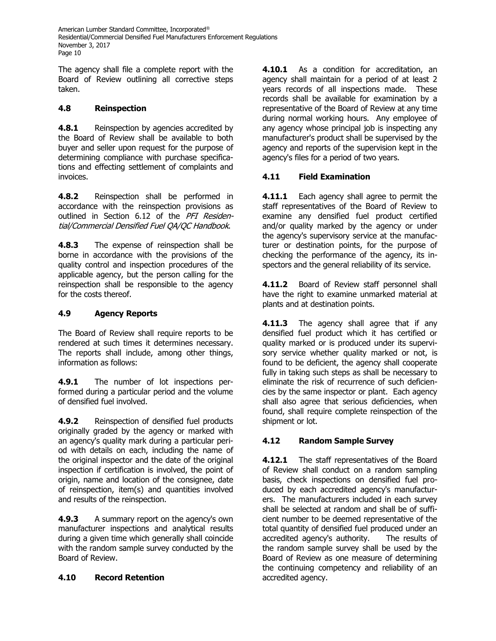The agency shall file a complete report with the Board of Review outlining all corrective steps taken.

# **4.8 Reinspection**

**4.8.1** Reinspection by agencies accredited by the Board of Review shall be available to both buyer and seller upon request for the purpose of determining compliance with purchase specifications and effecting settlement of complaints and invoices.

**4.8.2** Reinspection shall be performed in accordance with the reinspection provisions as outlined in Section 6.12 of the PFI Residential/Commercial Densified Fuel QA/QC Handbook.

**4.8.3** The expense of reinspection shall be borne in accordance with the provisions of the quality control and inspection procedures of the applicable agency, but the person calling for the reinspection shall be responsible to the agency for the costs thereof.

# **4.9 Agency Reports**

The Board of Review shall require reports to be rendered at such times it determines necessary. The reports shall include, among other things, information as follows:

**4.9.1** The number of lot inspections performed during a particular period and the volume of densified fuel involved.

**4.9.2** Reinspection of densified fuel products originally graded by the agency or marked with an agency's quality mark during a particular period with details on each, including the name of the original inspector and the date of the original inspection if certification is involved, the point of origin, name and location of the consignee, date of reinspection, item(s) and quantities involved and results of the reinspection.

**4.9.3** A summary report on the agency's own manufacturer inspections and analytical results during a given time which generally shall coincide with the random sample survey conducted by the Board of Review.

## **4.10 Record Retention**

**4.10.1** As a condition for accreditation, an agency shall maintain for a period of at least 2 years records of all inspections made. These records shall be available for examination by a representative of the Board of Review at any time during normal working hours. Any employee of any agency whose principal job is inspecting any manufacturer's product shall be supervised by the agency and reports of the supervision kept in the agency's files for a period of two years.

## **4.11 Field Examination**

**4.11.1** Each agency shall agree to permit the staff representatives of the Board of Review to examine any densified fuel product certified and/or quality marked by the agency or under the agency's supervisory service at the manufacturer or destination points, for the purpose of checking the performance of the agency, its inspectors and the general reliability of its service.

**4.11.2** Board of Review staff personnel shall have the right to examine unmarked material at plants and at destination points.

**4.11.3** The agency shall agree that if any densified fuel product which it has certified or quality marked or is produced under its supervisory service whether quality marked or not, is found to be deficient, the agency shall cooperate fully in taking such steps as shall be necessary to eliminate the risk of recurrence of such deficiencies by the same inspector or plant. Each agency shall also agree that serious deficiencies, when found, shall require complete reinspection of the shipment or lot.

# **4.12 Random Sample Survey**

**4.12.1** The staff representatives of the Board of Review shall conduct on a random sampling basis, check inspections on densified fuel produced by each accredited agency's manufacturers. The manufacturers included in each survey shall be selected at random and shall be of sufficient number to be deemed representative of the total quantity of densified fuel produced under an accredited agency's authority. The results of the random sample survey shall be used by the Board of Review as one measure of determining the continuing competency and reliability of an accredited agency.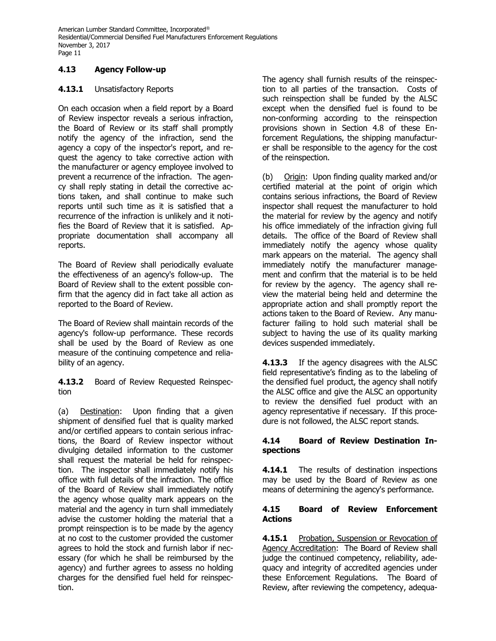# **4.13 Agency Follow-up**

## **4.13.1** Unsatisfactory Reports

On each occasion when a field report by a Board of Review inspector reveals a serious infraction, the Board of Review or its staff shall promptly notify the agency of the infraction, send the agency a copy of the inspector's report, and request the agency to take corrective action with the manufacturer or agency employee involved to prevent a recurrence of the infraction. The agency shall reply stating in detail the corrective actions taken, and shall continue to make such reports until such time as it is satisfied that a recurrence of the infraction is unlikely and it notifies the Board of Review that it is satisfied. Appropriate documentation shall accompany all reports.

The Board of Review shall periodically evaluate the effectiveness of an agency's follow-up. The Board of Review shall to the extent possible confirm that the agency did in fact take all action as reported to the Board of Review.

The Board of Review shall maintain records of the agency's follow-up performance. These records shall be used by the Board of Review as one measure of the continuing competence and reliability of an agency.

**4.13.2** Board of Review Requested Reinspection

(a) Destination: Upon finding that a given shipment of densified fuel that is quality marked and/or certified appears to contain serious infractions, the Board of Review inspector without divulging detailed information to the customer shall request the material be held for reinspection. The inspector shall immediately notify his office with full details of the infraction. The office of the Board of Review shall immediately notify the agency whose quality mark appears on the material and the agency in turn shall immediately advise the customer holding the material that a prompt reinspection is to be made by the agency at no cost to the customer provided the customer agrees to hold the stock and furnish labor if necessary (for which he shall be reimbursed by the agency) and further agrees to assess no holding charges for the densified fuel held for reinspection.

The agency shall furnish results of the reinspection to all parties of the transaction. Costs of such reinspection shall be funded by the ALSC except when the densified fuel is found to be non-conforming according to the reinspection provisions shown in Section 4.8 of these Enforcement Regulations, the shipping manufacturer shall be responsible to the agency for the cost of the reinspection.

(b) Origin: Upon finding quality marked and/or certified material at the point of origin which contains serious infractions, the Board of Review inspector shall request the manufacturer to hold the material for review by the agency and notify his office immediately of the infraction giving full details. The office of the Board of Review shall immediately notify the agency whose quality mark appears on the material. The agency shall immediately notify the manufacturer management and confirm that the material is to be held for review by the agency. The agency shall review the material being held and determine the appropriate action and shall promptly report the actions taken to the Board of Review. Any manufacturer failing to hold such material shall be subject to having the use of its quality marking devices suspended immediately.

**4.13.3** If the agency disagrees with the ALSC field representative's finding as to the labeling of the densified fuel product, the agency shall notify the ALSC office and give the ALSC an opportunity to review the densified fuel product with an agency representative if necessary. If this procedure is not followed, the ALSC report stands.

## **4.14 Board of Review Destination Inspections**

**4.14.1** The results of destination inspections may be used by the Board of Review as one means of determining the agency's performance.

## **4.15 Board of Review Enforcement Actions**

**4.15.1** Probation, Suspension or Revocation of Agency Accreditation: The Board of Review shall judge the continued competency, reliability, adequacy and integrity of accredited agencies under these Enforcement Regulations. The Board of Review, after reviewing the competency, adequa-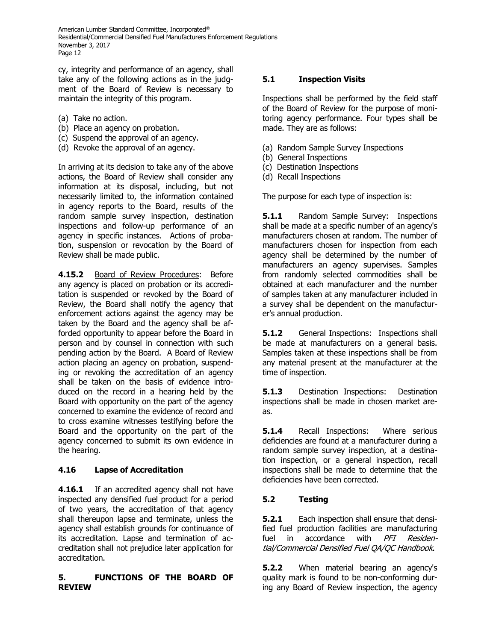cy, integrity and performance of an agency, shall take any of the following actions as in the judgment of the Board of Review is necessary to maintain the integrity of this program.

- (a) Take no action.
- (b) Place an agency on probation.
- (c) Suspend the approval of an agency.
- (d) Revoke the approval of an agency.

In arriving at its decision to take any of the above actions, the Board of Review shall consider any information at its disposal, including, but not necessarily limited to, the information contained in agency reports to the Board, results of the random sample survey inspection, destination inspections and follow-up performance of an agency in specific instances. Actions of probation, suspension or revocation by the Board of Review shall be made public.

**4.15.2** Board of Review Procedures: Before any agency is placed on probation or its accreditation is suspended or revoked by the Board of Review, the Board shall notify the agency that enforcement actions against the agency may be taken by the Board and the agency shall be afforded opportunity to appear before the Board in person and by counsel in connection with such pending action by the Board. A Board of Review action placing an agency on probation, suspending or revoking the accreditation of an agency shall be taken on the basis of evidence introduced on the record in a hearing held by the Board with opportunity on the part of the agency concerned to examine the evidence of record and to cross examine witnesses testifying before the Board and the opportunity on the part of the agency concerned to submit its own evidence in the hearing.

# **4.16 Lapse of Accreditation**

**4.16.1** If an accredited agency shall not have inspected any densified fuel product for a period of two years, the accreditation of that agency shall thereupon lapse and terminate, unless the agency shall establish grounds for continuance of its accreditation. Lapse and termination of accreditation shall not prejudice later application for accreditation.

## **5. FUNCTIONS OF THE BOARD OF REVIEW**

## **5.1 Inspection Visits**

Inspections shall be performed by the field staff of the Board of Review for the purpose of monitoring agency performance. Four types shall be made. They are as follows:

- (a) Random Sample Survey Inspections
- (b) General Inspections
- (c) Destination Inspections
- (d) Recall Inspections

The purpose for each type of inspection is:

**5.1.1** Random Sample Survey: Inspections shall be made at a specific number of an agency's manufacturers chosen at random. The number of manufacturers chosen for inspection from each agency shall be determined by the number of manufacturers an agency supervises. Samples from randomly selected commodities shall be obtained at each manufacturer and the number of samples taken at any manufacturer included in a survey shall be dependent on the manufacturer's annual production.

**5.1.2** General Inspections: Inspections shall be made at manufacturers on a general basis. Samples taken at these inspections shall be from any material present at the manufacturer at the time of inspection.

**5.1.3** Destination Inspections: Destination inspections shall be made in chosen market areas.

**5.1.4** Recall Inspections: Where serious deficiencies are found at a manufacturer during a random sample survey inspection, at a destination inspection, or a general inspection, recall inspections shall be made to determine that the deficiencies have been corrected.

# **5.2 Testing**

**5.2.1** Each inspection shall ensure that densified fuel production facilities are manufacturing fuel in accordance with PFI Residential/Commercial Densified Fuel QA/QC Handbook.

**5.2.2** When material bearing an agency's quality mark is found to be non-conforming during any Board of Review inspection, the agency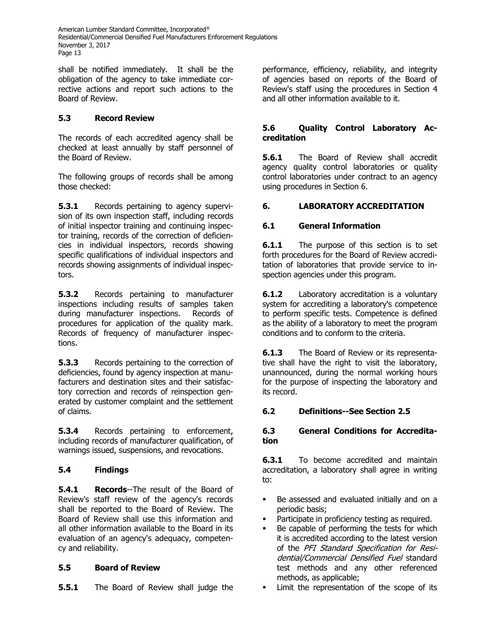shall be notified immediately. It shall be the obligation of the agency to take immediate corrective actions and report such actions to the Board of Review.

# **5.3 Record Review**

The records of each accredited agency shall be checked at least annually by staff personnel of the Board of Review.

The following groups of records shall be among those checked:

**5.3.1** Records pertaining to agency supervision of its own inspection staff, including records of initial inspector training and continuing inspector training, records of the correction of deficiencies in individual inspectors, records showing specific qualifications of individual inspectors and records showing assignments of individual inspectors.

**5.3.2** Records pertaining to manufacturer inspections including results of samples taken during manufacturer inspections. Records of procedures for application of the quality mark. Records of frequency of manufacturer inspections.

**5.3.3** Records pertaining to the correction of deficiencies, found by agency inspection at manufacturers and destination sites and their satisfactory correction and records of reinspection generated by customer complaint and the settlement of claims.

**5.3.4** Records pertaining to enforcement, including records of manufacturer qualification, of warnings issued, suspensions, and revocations.

# **5.4 Findings**

**5.4.1 Records**--The result of the Board of Review's staff review of the agency's records shall be reported to the Board of Review. The Board of Review shall use this information and all other information available to the Board in its evaluation of an agency's adequacy, competency and reliability.

# **5.5 Board of Review**

**5.5.1** The Board of Review shall judge the

performance, efficiency, reliability, and integrity of agencies based on reports of the Board of Review's staff using the procedures in Section 4 and all other information available to it.

## **5.6 Quality Control Laboratory Accreditation**

**5.6.1** The Board of Review shall accredit agency quality control laboratories or quality control laboratories under contract to an agency using procedures in Section 6.

# **6. LABORATORY ACCREDITATION**

## **6.1 General Information**

**6.1.1** The purpose of this section is to set forth procedures for the Board of Review accreditation of laboratories that provide service to inspection agencies under this program.

**6.1.2** Laboratory accreditation is a voluntary system for accrediting a laboratory's competence to perform specific tests. Competence is defined as the ability of a laboratory to meet the program conditions and to conform to the criteria.

**6.1.3** The Board of Review or its representative shall have the right to visit the laboratory, unannounced, during the normal working hours for the purpose of inspecting the laboratory and its record.

## **6.2 Definitions--See Section 2.5**

## **6.3 General Conditions for Accreditation**

**6.3.1** To become accredited and maintain accreditation, a laboratory shall agree in writing to:

- Be assessed and evaluated initially and on a periodic basis;
- Participate in proficiency testing as required.
- Be capable of performing the tests for which it is accredited according to the latest version of the PFI Standard Specification for Residential/Commercial Densified Fuel standard test methods and any other referenced methods, as applicable;
- **.** Limit the representation of the scope of its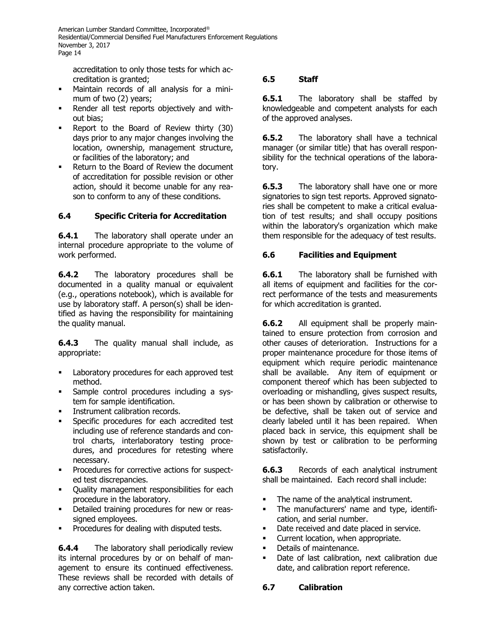accreditation to only those tests for which accreditation is granted;

- Maintain records of all analysis for a minimum of two (2) years;
- Render all test reports objectively and without bias;
- Report to the Board of Review thirty (30) days prior to any major changes involving the location, ownership, management structure, or facilities of the laboratory; and
- Return to the Board of Review the document of accreditation for possible revision or other action, should it become unable for any reason to conform to any of these conditions.

## **6.4 Specific Criteria for Accreditation**

**6.4.1** The laboratory shall operate under an internal procedure appropriate to the volume of work performed.

**6.4.2** The laboratory procedures shall be documented in a quality manual or equivalent (e.g., operations notebook), which is available for use by laboratory staff. A person(s) shall be identified as having the responsibility for maintaining the quality manual.

**6.4.3** The quality manual shall include, as appropriate:

- Laboratory procedures for each approved test method.
- Sample control procedures including a system for sample identification.
- Instrument calibration records.
- Specific procedures for each accredited test including use of reference standards and control charts, interlaboratory testing procedures, and procedures for retesting where necessary.
- Procedures for corrective actions for suspected test discrepancies.
- Quality management responsibilities for each procedure in the laboratory.
- Detailed training procedures for new or reassigned employees.
- Procedures for dealing with disputed tests.

**6.4.4** The laboratory shall periodically review its internal procedures by or on behalf of management to ensure its continued effectiveness. These reviews shall be recorded with details of any corrective action taken.

# **6.5 Staff**

**6.5.1** The laboratory shall be staffed by knowledgeable and competent analysts for each of the approved analyses.

**6.5.2** The laboratory shall have a technical manager (or similar title) that has overall responsibility for the technical operations of the laboratory.

**6.5.3** The laboratory shall have one or more signatories to sign test reports. Approved signatories shall be competent to make a critical evaluation of test results; and shall occupy positions within the laboratory's organization which make them responsible for the adequacy of test results.

## **6.6 Facilities and Equipment**

**6.6.1** The laboratory shall be furnished with all items of equipment and facilities for the correct performance of the tests and measurements for which accreditation is granted.

**6.6.2** All equipment shall be properly maintained to ensure protection from corrosion and other causes of deterioration. Instructions for a proper maintenance procedure for those items of equipment which require periodic maintenance shall be available. Any item of equipment or component thereof which has been subjected to overloading or mishandling, gives suspect results, or has been shown by calibration or otherwise to be defective, shall be taken out of service and clearly labeled until it has been repaired. When placed back in service, this equipment shall be shown by test or calibration to be performing satisfactorily.

**6.6.3** Records of each analytical instrument shall be maintained. Each record shall include:

- **•** The name of the analytical instrument.
- The manufacturers' name and type, identification, and serial number.
- **•** Date received and date placed in service.
- Current location, when appropriate.
- Details of maintenance.
- Date of last calibration, next calibration due date, and calibration report reference.

## **6.7 Calibration**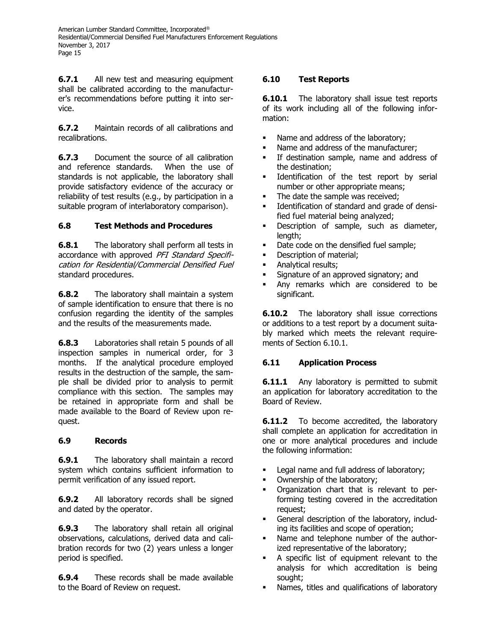**6.7.1** All new test and measuring equipment shall be calibrated according to the manufacturer's recommendations before putting it into service.

**6.7.2** Maintain records of all calibrations and recalibrations.

**6.7.3** Document the source of all calibration and reference standards. When the use of standards is not applicable, the laboratory shall provide satisfactory evidence of the accuracy or reliability of test results (e.g., by participation in a suitable program of interlaboratory comparison).

# **6.8 Test Methods and Procedures**

**6.8.1** The laboratory shall perform all tests in accordance with approved PFI Standard Specification for Residential/Commercial Densified Fuel standard procedures.

**6.8.2** The laboratory shall maintain a system of sample identification to ensure that there is no confusion regarding the identity of the samples and the results of the measurements made.

**6.8.3** Laboratories shall retain 5 pounds of all inspection samples in numerical order, for 3 months. If the analytical procedure employed results in the destruction of the sample, the sample shall be divided prior to analysis to permit compliance with this section. The samples may be retained in appropriate form and shall be made available to the Board of Review upon request.

## **6.9 Records**

**6.9.1** The laboratory shall maintain a record system which contains sufficient information to permit verification of any issued report.

**6.9.2** All laboratory records shall be signed and dated by the operator.

**6.9.3** The laboratory shall retain all original observations, calculations, derived data and calibration records for two (2) years unless a longer period is specified.

**6.9.4** These records shall be made available to the Board of Review on request.

## **6.10 Test Reports**

**6.10.1** The laboratory shall issue test reports of its work including all of the following information:

- Name and address of the laboratory;
- Name and address of the manufacturer;
- **•** If destination sample, name and address of the destination;
- **■** Identification of the test report by serial number or other appropriate means;
- **•** The date the sample was received;
- **■** Identification of standard and grade of densified fuel material being analyzed;
- **EXEC** Description of sample, such as diameter, length;
- Date code on the densified fuel sample;
- **•** Description of material;
- **·** Analytical results;
- Signature of an approved signatory; and
- Any remarks which are considered to be significant.

**6.10.2** The laboratory shall issue corrections or additions to a test report by a document suitably marked which meets the relevant requirements of Section 6.10.1.

## **6.11 Application Process**

**6.11.1** Any laboratory is permitted to submit an application for laboratory accreditation to the Board of Review.

**6.11.2** To become accredited, the laboratory shall complete an application for accreditation in one or more analytical procedures and include the following information:

- **•** Legal name and full address of laboratory;
- Ownership of the laboratory;
- Organization chart that is relevant to performing testing covered in the accreditation request;
- General description of the laboratory, including its facilities and scope of operation;
- Name and telephone number of the authorized representative of the laboratory;
- A specific list of equipment relevant to the analysis for which accreditation is being sought;
- Names, titles and qualifications of laboratory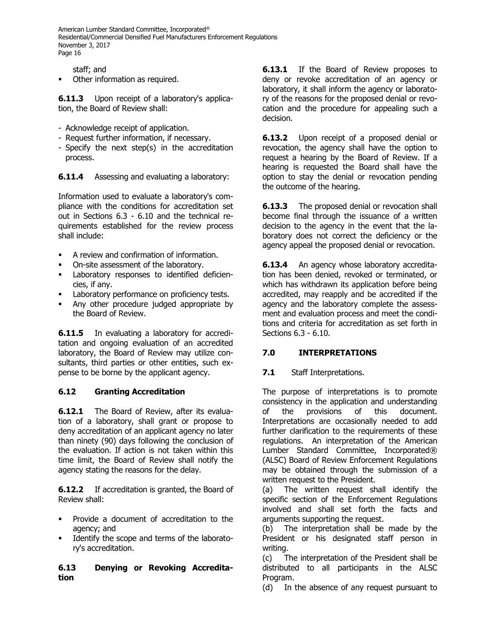staff; and

Other information as required.

**6.11.3** Upon receipt of a laboratory's application, the Board of Review shall:

- Acknowledge receipt of application.
- Request further information, if necessary.
- Specify the next step(s) in the accreditation process.

**6.11.4** Assessing and evaluating a laboratory:

Information used to evaluate a laboratory's compliance with the conditions for accreditation set out in Sections 6.3 - 6.10 and the technical requirements established for the review process shall include:

- A review and confirmation of information.
- On-site assessment of the laboratory.
- Laboratory responses to identified deficiencies, if any.
- Laboratory performance on proficiency tests.
- Any other procedure judged appropriate by the Board of Review.

**6.11.5** In evaluating a laboratory for accreditation and ongoing evaluation of an accredited laboratory, the Board of Review may utilize consultants, third parties or other entities, such expense to be borne by the applicant agency.

## **6.12 Granting Accreditation**

**6.12.1** The Board of Review, after its evaluation of a laboratory, shall grant or propose to deny accreditation of an applicant agency no later than ninety (90) days following the conclusion of the evaluation. If action is not taken within this time limit, the Board of Review shall notify the agency stating the reasons for the delay.

**6.12.2** If accreditation is granted, the Board of Review shall:

- Provide a document of accreditation to the agency; and
- Identify the scope and terms of the laboratory's accreditation.

#### **6.13 Denying or Revoking Accreditation**

**6.13.1** If the Board of Review proposes to deny or revoke accreditation of an agency or laboratory, it shall inform the agency or laboratory of the reasons for the proposed denial or revocation and the procedure for appealing such a decision.

**6.13.2** Upon receipt of a proposed denial or revocation, the agency shall have the option to request a hearing by the Board of Review. If a hearing is requested the Board shall have the option to stay the denial or revocation pending the outcome of the hearing.

**6.13.3** The proposed denial or revocation shall become final through the issuance of a written decision to the agency in the event that the laboratory does not correct the deficiency or the agency appeal the proposed denial or revocation.

**6.13.4** An agency whose laboratory accreditation has been denied, revoked or terminated, or which has withdrawn its application before being accredited, may reapply and be accredited if the agency and the laboratory complete the assessment and evaluation process and meet the conditions and criteria for accreditation as set forth in Sections 6.3 - 6.10.

## **7.0 INTERPRETATIONS**

**7.1** Staff Interpretations.

The purpose of interpretations is to promote consistency in the application and understanding of the provisions of this document. Interpretations are occasionally needed to add further clarification to the requirements of these regulations. An interpretation of the American Lumber Standard Committee, Incorporated® (ALSC) Board of Review Enforcement Regulations may be obtained through the submission of a written request to the President.

(a) The written request shall identify the specific section of the Enforcement Regulations involved and shall set forth the facts and arguments supporting the request.

(b) The interpretation shall be made by the President or his designated staff person in writing.

(c) The interpretation of the President shall be distributed to all participants in the ALSC Program.

(d) In the absence of any request pursuant to